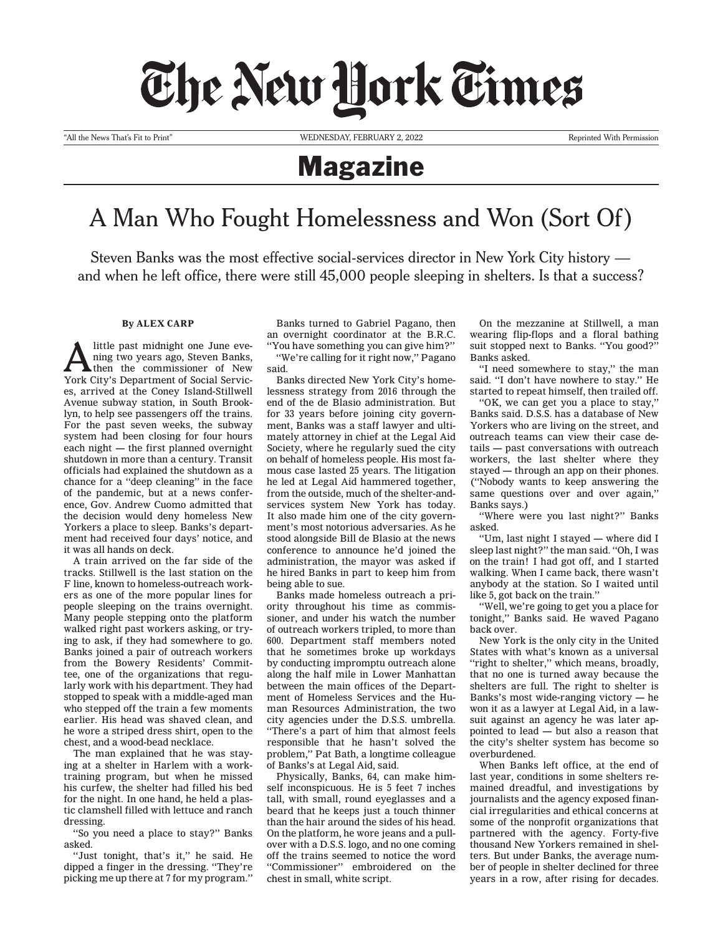## The New Hork Times

"All the News That's Fit to Print" WEDNESDAY, FEBRUARY 2, 2022 Reprinted With Permission

## Magazine

## A Man Who Fought Homelessness and Won (Sort Of)

Steven Banks was the most effective social-services director in New York City history and when he left office, there were still 45,000 people sleeping in shelters. Is that a success?

## **By ALEX CARP**

A little past midnight one June eve-<br>then the commissioner of New<br>New City of New ning two years ago, Steven Banks, York City's Department of Social Services, arrived at the Coney Island-Stillwell Avenue subway station, in South Brooklyn, to help see passengers off the trains. For the past seven weeks, the subway system had been closing for four hours each night — the first planned overnight shutdown in more than a century. Transit officials had explained the shutdown as a chance for a "deep cleaning" in the face of the pandemic, but at a news conference, [Gov. Andrew Cuomo admitted that](https://www.nytimes.com/video/us/politics/100000007111840/cuomo-calls-crowds-of-homeless-on-subways-disgusting.html) [the decision would deny homeless New](https://www.nytimes.com/video/us/politics/100000007111840/cuomo-calls-crowds-of-homeless-on-subways-disgusting.html)  [Yorkers a place to sleep](https://www.nytimes.com/video/us/politics/100000007111840/cuomo-calls-crowds-of-homeless-on-subways-disgusting.html). Banks's department had received four days' notice, and it was all hands on deck.

A train arrived on the far side of the tracks. Stillwell is the last station on the F line, known to homeless-outreach workers as one of the more popular lines for people sleeping on the trains overnight. Many people stepping onto the platform walked right past workers asking, or trying to ask, if they had somewhere to go. Banks joined a pair of outreach workers from the Bowery Residents' Committee, one of the organizations that regularly work with his department. They had stopped to speak with a middle-aged man who stepped off the train a few moments earlier. His head was shaved clean, and he wore a striped dress shirt, open to the chest, and a wood-bead necklace.

The man explained that he was staying at a shelter in Harlem with a worktraining program, but when he missed his curfew, the shelter had filled his bed for the night. In one hand, he held a plastic clamshell filled with lettuce and ranch dressing.

"So you need a place to stay?" Banks asked.

"Just tonight, that's it," he said. He dipped a finger in the dressing. "They're picking me up there at 7 for my program."

Banks turned to Gabriel Pagano, then an overnight coordinator at the B.R.C. "You have something you can give him?"

"We're calling for it right now," Pagano said.

Banks directed New York City's homelessness strategy from 2016 through the end of the de Blasio administration. But for 33 years before joining city government, Banks was a staff lawyer and ultimately attorney in chief at the Legal Aid Society, where he regularly sued the city on behalf of homeless people. His most famous case lasted 25 years. The litigation he led at Legal Aid hammered together, from the outside, much of the shelter-andservices system New York has today. It also made him one of the city government's most notorious adversaries. As he stood alongside Bill de Blasio at the news conference to announce he'd joined the administration, the mayor was asked if he hired Banks in part to keep him from being able to sue.

Banks made homeless outreach a priority throughout his time as commissioner, and under his watch the number of outreach workers tripled, to more than 600. Department staff members noted that he sometimes broke up workdays by conducting impromptu outreach alone along the half mile in Lower Manhattan between the main offices of the Department of Homeless Services and the Human Resources Administration, the two city agencies under the D.S.S. umbrella. "There's a part of him that almost feels responsible that he hasn't solved the problem," Pat Bath, a longtime colleague of Banks's at Legal Aid, said.

Physically, Banks, 64, can make himself inconspicuous. He is 5 feet 7 inches tall, with small, round eyeglasses and a beard that he keeps just a touch thinner than the hair around the sides of his head. On the platform, he wore jeans and a pullover with a D.S.S. logo, and no one coming off the trains seemed to notice the word "Commissioner" embroidered on the chest in small, white script.

On the mezzanine at Stillwell, a man wearing flip-flops and a floral bathing suit stopped next to Banks. "You good?" Banks asked.

"I need somewhere to stay," the man said. "I don't have nowhere to stay." He started to repeat himself, then trailed off.

"OK, we can get you a place to stay," Banks said. D.S.S. has a database of New Yorkers who are living on the street, and outreach teams can view their case details — past conversations with outreach workers, the last shelter where they stayed — through an app on their phones. ("Nobody wants to keep answering the same questions over and over again," Banks says.)

"Where were you last night?" Banks asked.

"Um, last night I stayed — where did I sleep last night?" the man said. "Oh, I was on the train! I had got off, and I started walking. When I came back, there wasn't anybody at the station. So I waited until like 5, got back on the train."

"Well, we're going to get you a place for tonight," Banks said. He waved Pagano back over.

New York is the only city in the United States with what's known as a universal "right to shelter," which means, broadly, that no one is turned away because the shelters are full. The right to shelter is Banks's most wide-ranging victory — he won it as a lawyer at Legal Aid, in a lawsuit against an agency he was later appointed to lead — but also a reason that the city's shelter system has become so overburdened.

When Banks left office, at the end of last year, conditions in some shelters remained dreadful, and investigations by journalists and the agency exposed financial irregularities and ethical concerns at some of the nonprofit organizations that partnered with the agency. Forty-five thousand New Yorkers remained in shelters. But under Banks, the average number of people in shelter declined for three years in a row, after rising for decades.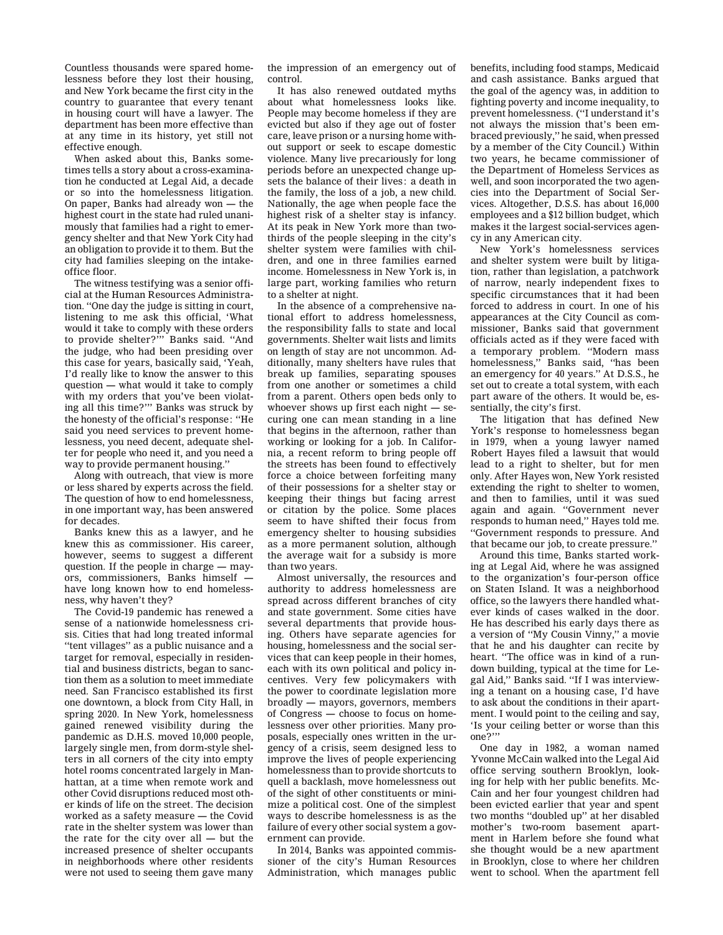Countless thousands were spared homelessness before they lost their housing, and [New York became the first city in the](http://civilrighttocounsel.org/major_developments/894)  [country to guarantee that every tenant](http://civilrighttocounsel.org/major_developments/894)  [in housing court will have a lawyer.](http://civilrighttocounsel.org/major_developments/894) The department has been more effective than at any time in its history, yet still not effective enough.

When asked about this, Banks sometimes tells a story about a cross-examination he conducted at Legal Aid, a decade or so into the homelessness litigation. On paper, Banks had already won — the highest court in the state had ruled unanimously that families had a right to emergency shelter and that New York City had an obligation to provide it to them. But the city had families sleeping on the intakeoffice floor.

The witness testifying was a senior official at the Human Resources Administration. "One day the judge is sitting in court, listening to me ask this official, 'What would it take to comply with these orders to provide shelter?'" Banks said. "And the judge, who had been presiding over this case for years, basically said, 'Yeah, I'd really like to know the answer to this question — what would it take to comply with my orders that you've been violating all this time?'" Banks was struck by the honesty of the official's response: "He said you need services to prevent homelessness, you need decent, adequate shelter for people who need it, and you need a way to provide permanent housing."

Along with outreach, that view is more or less shared by experts across the field. The question of how to end homelessness, in one important way, has been answered for decades.

Banks knew this as a lawyer, and he knew this as commissioner. His career, however, seems to suggest a different question. If the people in charge — mayors, commissioners, Banks himself have long known how to end homelessness, why haven't they?

The Covid-19 pandemic has renewed a sense of a nationwide homelessness crisis. Cities that had long treated informal "tent villages" as a public nuisance and a target for removal, especially in residential and business districts, [began to sanc](https://www.npr.org/2020/05/14/855588754/san-francisco-shifts-from-trashing-homeless-camps-to-sanctioning-them-amid-covid)[tion them as a solution to meet immediate](https://www.npr.org/2020/05/14/855588754/san-francisco-shifts-from-trashing-homeless-camps-to-sanctioning-them-amid-covid)  [need.](https://www.npr.org/2020/05/14/855588754/san-francisco-shifts-from-trashing-homeless-camps-to-sanctioning-them-amid-covid) San Francisco established its first one downtown, a block from City Hall, in spring 2020. In New York, homelessness gained renewed visibility during the pandemic as D.H.S. moved 10,000 people, largely single men, from dorm-style shelters in all corners of the city into empty hotel rooms concentrated largely in Manhattan, at a time when remote work and other Covid disruptions reduced most other kinds of life on the street. The decision worked as a safety measure — the Covid rate in the shelter system was lower than the rate for the city over all — but the increased presence of shelter occupants in neighborhoods where other residents were not used to seeing them gave many the impression of an emergency out of control.

It has also renewed outdated myths about what homelessness looks like. People may become homeless if they are evicted but also if they age out of foster care, leave prison or a nursing home without support or seek to escape domestic violence. Many live precariously for long periods before an unexpected change upsets the balance of their lives: a death in the family, the loss of a job, a new child. Nationally, the age when people face the highest risk of a shelter stay is infancy. At its peak in New York more than twothirds of the people sleeping in the city's shelter system were families with children, and one in three families earned income. Homelessness in New York is, in large part, working families who return to a shelter at night.

In the absence of a comprehensive national effort to address homelessness, the responsibility falls to state and local governments. Shelter wait lists and limits on length of stay are not uncommon. Additionally, many shelters have rules that break up families, separating spouses from one another or sometimes a child from a parent. Others open beds only to whoever shows up first each night — securing one can mean standing in a line that begins in the afternoon, rather than working or looking for a job. In California, a recent reform to bring people off the streets has been found to effectively force a choice between forfeiting many of their [possessions for a shelter stay or](https://journals.sagepub.com/doi/abs/10.1177/0002716221996703)  [keeping their things but facing arrest](https://journals.sagepub.com/doi/abs/10.1177/0002716221996703)  [or citation by the police.](https://journals.sagepub.com/doi/abs/10.1177/0002716221996703) Some places seem to have shifted their focus from emergency shelter to housing subsidies as a more permanent solution, although the average wait for a subsidy is more than two years.

Almost universally, the resources and authority to address homelessness are spread across different branches of city and state government. Some cities have several departments that provide housing. Others have separate agencies for housing, homelessness and the social services that can keep people in their homes, each with its own political and policy incentives. Very few policymakers with the power to coordinate legislation more broadly — mayors, governors, members of Congress — choose to focus on homelessness over other priorities. Many proposals, especially ones written in the urgency of a crisis, seem designed less to improve the lives of people experiencing homelessness than to provide shortcuts to quell a backlash, move homelessness out of the sight of other constituents or minimize a political cost. One of the simplest ways to describe homelessness is as the failure of every other social system a government can provide.

In 2014, Banks was appointed commissioner of the city's Human Resources Administration, which manages public benefits, including food stamps, Medicaid and cash assistance. Banks argued that the goal of the agency was, in addition to fighting poverty and income inequality, to prevent homelessness. ("I understand it's not always the mission that's been embraced previously," he said, when pressed by a member of the City Council.) Within two years, he became commissioner of the Department of Homeless Services as well, and soon incorporated the two agencies into the Department of Social Services. Altogether, D.S.S. has about 16,000 employees and a \$12 billion budget, which makes it the largest social-services agency in any American city.

New York's homelessness services and shelter system were built by litigation, rather than legislation, a patchwork of narrow, nearly independent fixes to specific circumstances that it had been forced to address in court. In one of his appearances at the City Council as commissioner, Banks said that government officials acted as if they were faced with a temporary problem. "Modern mass homelessness," Banks said, "has been an emergency for 40 years." At D.S.S., he set out to create a total system, with each part aware of the others. It would be, essentially, the city's first.

The litigation that has defined New York's response to homelessness began in 1979, when a young lawyer named Robert Hayes filed a lawsuit that would lead to a right to shelter, but for men only. After Hayes won, New York resisted extending the right to shelter to women, and then to families, until it was sued again and again. "Government never responds to human need," Hayes told me. "Government responds to pressure. And that became our job, to create pressure."

Around this time, Banks started working at Legal Aid, where he was assigned to the organization's four-person office on Staten Island. It was a neighborhood office, so the lawyers there handled whatever kinds of cases walked in the door. He has described his early days there as a version of "My Cousin Vinny," a movie that he and his daughter can recite by heart. "The office was in kind of a rundown building, typical at the time for Legal Aid," Banks said. "If I was interviewing a tenant on a housing case, I'd have to ask about the conditions in their apartment. I would point to the ceiling and say, 'Is your ceiling better or worse than this one?'"

One day in 1982, a woman named Yvonne McCain walked into the Legal Aid office serving southern Brooklyn, looking for help with her public benefits. Mc-Cain and her four youngest children had been evicted earlier that year and spent two months "doubled up" at her disabled mother's two-room basement apartment in Harlem before she found what she thought would be a new apartment in Brooklyn, close to where her children went to school. When the apartment fell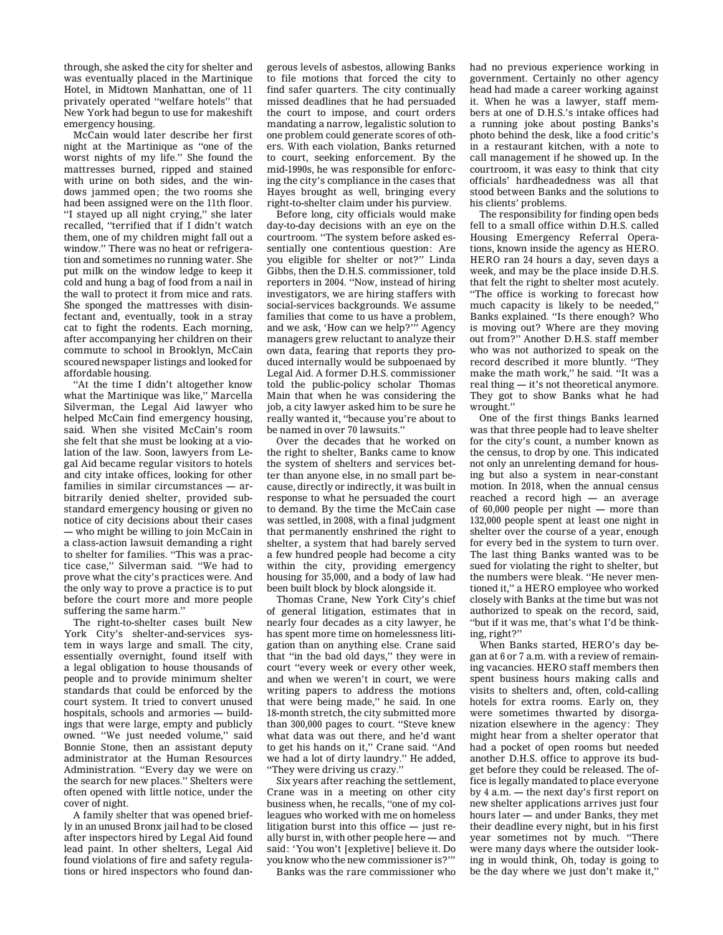through, she asked the city for shelter and was eventually placed in the Martinique Hotel, in Midtown Manhattan, one of 11 privately operated "welfare hotels" that New York had begun to use for makeshift emergency housing.

McCain would later describe her first night at the Martinique as "one of the worst nights of my life." She found the mattresses burned, ripped and stained with urine on both sides, and the windows jammed open; the two rooms she had been assigned were on the 11th floor. "I stayed up all night crying," she later recalled, "terrified that if I didn't watch them, one of my children might fall out a window." There was no heat or refrigeration and sometimes no running water. She put milk on the window ledge to keep it cold and hung a bag of food from a nail in the wall to protect it from mice and rats. She sponged the mattresses with disinfectant and, eventually, took in a stray cat to fight the rodents. Each morning, after accompanying her children on their commute to school in Brooklyn, McCain scoured newspaper listings and looked for affordable housing.

"At the time I didn't altogether know what the Martinique was like," Marcella Silverman, the Legal Aid lawyer who helped McCain find emergency housing, said. When she visited McCain's room she felt that she must be looking at a violation of the law. Soon, lawyers from Legal Aid became regular visitors to hotels and city intake offices, looking for other families in similar circumstances — arbitrarily denied shelter, provided substandard emergency housing or given no notice of city decisions about their cases — who might be willing to join McCain in a class-action lawsuit demanding a right to shelter for families. "This was a practice case," Silverman said. "We had to prove what the city's practices were. And the only way to prove a practice is to put before the court more and more people suffering the same harm."

The right-to-shelter cases built New York City's shelter-and-services system in ways large and small. The city, essentially overnight, found itself with a legal obligation to house thousands of people and to provide minimum shelter standards that could be enforced by the court system. It tried to convert unused hospitals, schools and armories — buildings that were large, empty and publicly owned. "We just needed volume," said Bonnie Stone, then an assistant deputy administrator at the Human Resources Administration. "Every day we were on the search for new places." Shelters were often opened with little notice, under the cover of night.

A family shelter that was opened briefly in an unused Bronx jail had to be closed after inspectors hired by Legal Aid found lead paint. In other shelters, Legal Aid found violations of fire and safety regulations or hired inspectors who found dangerous levels of asbestos, allowing Banks to file motions that forced the city to find safer quarters. The city continually missed deadlines that he had persuaded the court to impose, and court orders mandating a narrow, legalistic solution to one problem could generate scores of others. With each violation, Banks returned to court, seeking enforcement. By the mid-1990s, he was responsible for enforcing the city's compliance in the cases that Hayes brought as well, bringing every right-to-shelter claim under his purview.

Before long, city officials would make day-to-day decisions with an eye on the courtroom. "The system before asked essentially one contentious question: Are you eligible for shelter or not?" Linda Gibbs, then the D.H.S. commissioner, told reporters in 2004. "Now, instead of hiring investigators, we are hiring staffers with social-services backgrounds. We assume families that come to us have a problem, and we ask, 'How can we help?'" Agency managers grew reluctant to analyze their own data, [fearing that reports they pro](https://www.nytimes.com/2008/09/18/nyregion/18homeless.html)[duced internally would be subpoenaed by](https://www.nytimes.com/2008/09/18/nyregion/18homeless.html)  [Legal Aid.](https://www.nytimes.com/2008/09/18/nyregion/18homeless.html) A former D.H.S. commissioner told the public-policy scholar Thomas Main that when he was considering the job, a city lawyer asked him to be sure he really wanted it, "because you're about to be named in over 70 lawsuits."

Over the decades that he worked on the right to shelter, Banks came to know the system of shelters and services better than anyone else, in no small part because, directly or indirectly, it was built in response to what he persuaded the court to demand. By the time the McCain case was settled, in 2008, with a final judgment that permanently enshrined the right to shelter, a system that had barely served a few hundred people had become a city within the city, providing emergency housing for 35,000, and a body of law had been built block by block alongside it.

Thomas Crane, New York City's chief of general litigation, estimates that in nearly four decades as a city lawyer, he has spent more time on homelessness litigation than on anything else. Crane said that "in the bad old days," they were in court "every week or every other week, and when we weren't in court, we were writing papers to address the motions that were being made," he said. In one 18-month stretch, the city submitted more than 300,000 pages to court. "Steve knew what data was out there, and he'd want to get his hands on it," Crane said. "And we had a lot of dirty laundry." He added, "They were driving us crazy."

Six years after reaching the settlement, Crane was in a meeting on other city business when, he recalls, "one of my colleagues who worked with me on homeless litigation burst into this office — just really burst in, with other people here — and said: 'You won't [expletive] believe it. Do you know who the new commissioner is?"'

Banks was the rare commissioner who

had no previous experience working in government. Certainly no other agency head had made a career working against it. When he was a lawyer, staff members at one of D.H.S.'s intake offices had a running joke about posting Banks's photo behind the desk, like a food critic's in a restaurant kitchen, with a note to call management if he showed up. In the courtroom, it was easy to think that city officials' hardheadedness was all that stood between Banks and the solutions to his clients' problems.

The responsibility for finding open beds fell to a small office within D.H.S. called Housing Emergency Referral Operations, known inside the agency as HERO. HERO ran 24 hours a day, seven days a week, and may be the place inside D.H.S. that felt the right to shelter most acutely. "The office is working to forecast how much capacity is likely to be needed," Banks explained. "Is there enough? Who is moving out? Where are they moving out from?" Another D.H.S. staff member who was not authorized to speak on the record described it more bluntly. "They make the math work," he said. "It was a real thing — it's not theoretical anymore. They got to show Banks what he had wrought."

One of the first things Banks learned was that three people had to leave shelter for the city's count, a number known as the census, to drop by one. This indicated not only an unrelenting demand for housing but also a system in near-constant motion. In 2018, when the annual census reached a record high — an average of 60,000 people per night — more than 132,000 people spent at least one night in shelter over the course of a year, enough for every bed in the system to turn over. The last thing Banks wanted was to be sued for violating the right to shelter, but the numbers were bleak. "He never mentioned it," a HERO employee who worked closely with Banks at the time but was not authorized to speak on the record, said, "but if it was me, that's what I'd be thinking, right?"

When Banks started, HERO's day began at 6 or 7 a.m. with a review of remaining vacancies. HERO staff members then spent business hours making calls and visits to shelters and, often, cold-calling hotels for extra rooms. Early on, they were sometimes thwarted by disorganization elsewhere in the agency: They might hear from a shelter operator that had a pocket of open rooms but needed another D.H.S. office to approve its budget before they could be released. The office is legally mandated to place everyone by 4 a.m. — the next day's first report on new shelter applications arrives just four hours later — and under Banks, they met their deadline every night, but in his first year sometimes not by much. "There were many days where the outsider looking in would think, Oh, today is going to be the day where we just don't make it,'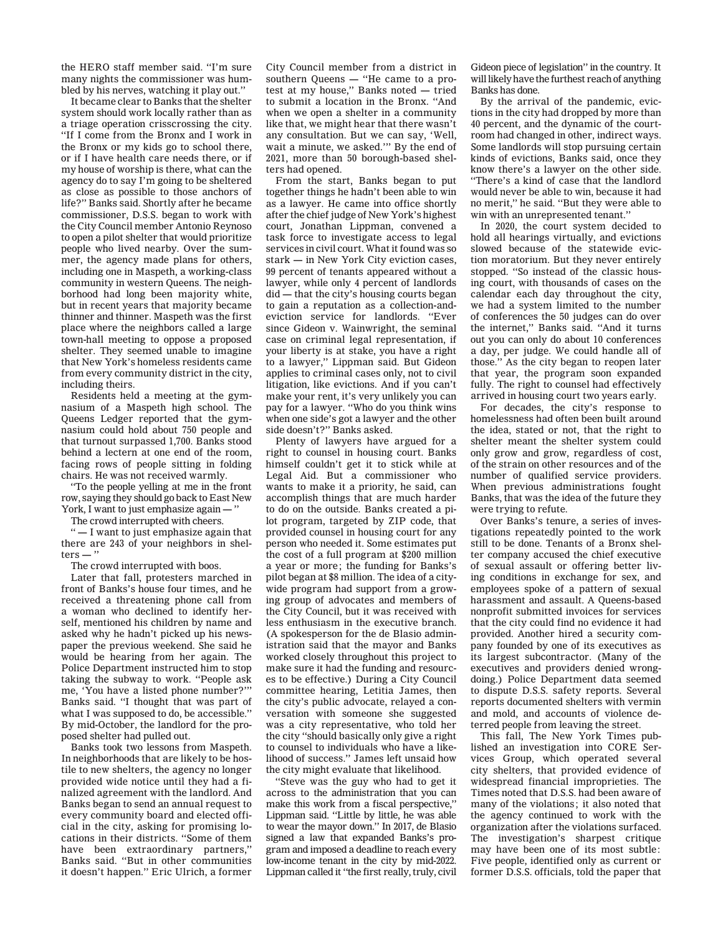the HERO staff member said. "I'm sure many nights the commissioner was humbled by his nerves, watching it play out."

It became clear to Banks that the shelter system should work locally rather than as a triage operation crisscrossing the city. "If I come from the Bronx and I work in the Bronx or my kids go to school there, or if I have health care needs there, or if my house of worship is there, what can the agency do to say I'm going to be sheltered as close as possible to those anchors of life?" Banks said. Shortly after he became commissioner, D.S.S. began to work with the City Council member Antonio Reynoso to open a pilot shelter that would prioritize people who lived nearby. Over the summer, the agency made plans for others, including one in Maspeth, a working-class community in western Queens. The neighborhood had long been majority white, but in recent years that majority became thinner and thinner. Maspeth was the first place where the neighbors called a large town-hall meeting to oppose a proposed shelter. They seemed unable to imagine that New York's homeless residents came from every community district in the city, including theirs.

Residents held a meeting at the gymnasium of a Maspeth high school. The Queens Ledger reported that the gymnasium could hold about 750 people and that turnout surpassed 1,700. Banks stood behind a lectern at one end of the room, facing rows of people sitting in folding chairs. [He was not received warmly.](https://www.ny1.com/nyc/all-boroughs/news/2016/09/16/maspeth-residents-take-protest-against-homeless-shelter-to-doorstep-of-top-city-official-in-brooklyn)

"To the people yelling at me in the front row, saying they should go back to East New York, I want to just emphasize again -

The crowd interrupted with cheers.

" — I want to just emphasize again that there are 243 of your neighbors in shel $ters - "$ 

The crowd interrupted with boos.

Later that fall, protesters marched in front of Banks's house four times, and he received a threatening phone call from a woman who declined to identify herself, mentioned his children by name and asked why he hadn't picked up his newspaper the previous weekend. She said he would be hearing from her again. The Police Department instructed him to stop taking the subway to work. "People ask me, 'You have a listed phone number?'" Banks said. "I thought that was part of what I was supposed to do, be accessible." By mid-October, the landlord for the proposed shelter had pulled out.

Banks took two lessons from Maspeth. In neighborhoods that are likely to be hostile to new shelters, the agency no longer provided wide notice until they had a finalized agreement with the landlord. And Banks began to send an annual request to every community board and elected official in the city, asking for promising locations in their districts. "Some of them have been extraordinary partners," Banks said. "But in other communities it doesn't happen." Eric Ulrich, a former

City Council member from a district in southern Queens — "He came to a protest at my house," Banks noted — tried to submit a location in the Bronx. "And when we open a shelter in a community like that, we might hear that there wasn't any consultation. But we can say, 'Well, wait a minute, we asked.'" By the end of 2021, more than 50 borough-based shelters had opened.

From the start, Banks began to put together things he hadn't been able to win as a lawyer. He came into office shortly after the chief judge of New York's highest court, Jonathan Lippman, convened a task force to [investigate access to legal](http://ww2.nycourts.gov/sites/default/files/document/files/2018-04/CLS-TaskForceREPORT.pdf)  [services in civil court.](http://ww2.nycourts.gov/sites/default/files/document/files/2018-04/CLS-TaskForceREPORT.pdf) What it found was so stark — in New York City eviction cases, 99 percent of tenants appeared without a lawyer, while only 4 percent of landlords did — that the city's housing courts began to gain a reputation as [a collection-and](http://blogs.law.columbia.edu/hrlr/files/2021/02/592_Merjian.pdf)[eviction service for landlords.](http://blogs.law.columbia.edu/hrlr/files/2021/02/592_Merjian.pdf) "Ever since Gideon v. Wainwright, the seminal case on criminal legal representation, if your liberty is at stake, you have a right to a lawyer," Lippman said. But Gideon applies to criminal cases only, not to civil litigation, like evictions. And if you can't make your rent, it's very unlikely you can pay for a lawyer. "Who do you think wins when one side's got a lawyer and the other side doesn't?" Banks asked.

Plenty of lawyers have argued for a right to counsel in housing court. Banks himself couldn't get it to stick while at Legal Aid. But a commissioner who wants to make it a priority, he said, can accomplish things that are much harder to do on the outside. Banks created a pilot program, targeted by ZIP code, that provided counsel in housing court for any person who needed it. Some estimates put the cost of a full program at \$200 million a year or more; the funding for Banks's pilot began at \$8 million. The idea of a citywide program had support from a growing group of advocates and members of the City Council, but it was received with less enthusiasm in the executive branch. (A spokesperson for the de Blasio administration said that the mayor and Banks worked closely throughout this project to make sure it had the funding and resources to be effective.) During a City Council committee hearing, Letitia James, then the city's public advocate, relayed a conversation with someone she suggested was a city representative, who told her the city "should basically only give a right to counsel to individuals who have a likelihood of success." James left unsaid how the city might evaluate that likelihood.

"Steve was the guy who had to get it across to the administration that you can make this work from a fiscal perspective," Lippman said. "Little by little, he was able to wear the mayor down." In 2017, de Blasio signed a law that expanded Banks's program and imposed a deadline to reach every low-income tenant in the city by mid-2022. Lippman called it "the first really, truly, civil

Gideon piece of legislation" in the country. It will likely have the furthest reach of anything Banks has done.

By the arrival of the pandemic, evictions in the city had dropped by more than 40 percent, and the dynamic of the courtroom had changed in other, indirect ways. Some landlords will stop pursuing certain kinds of evictions, Banks said, once they know there's a lawyer on the other side. "There's a kind of case that the landlord would never be able to win, because it had no merit," he said. "But they were able to win with an unrepresented tenant."

In 2020, the court system decided to hold all hearings virtually, and evictions slowed because of the statewide eviction moratorium. But they never entirely stopped. "So instead of the classic housing court, with thousands of cases on the calendar each day throughout the city, we had a system limited to the number of conferences the 50 judges can do over the internet," Banks said. "And it turns out you can only do about 10 conferences a day, per judge. We could handle all of those." As the city began to reopen later that year, the program soon expanded fully. The right to counsel had effectively arrived in housing court two years early.

For decades, the city's response to homelessness had often been built around the idea, stated or not, that the right to shelter meant the shelter system could only grow and grow, regardless of cost, of the strain on other resources and of the number of qualified service providers. When previous administrations fought Banks, that was the idea of the future they were trying to refute.

Over Banks's tenure, a series of investigations repeatedly pointed to the work still to be done. Tenants of a Bronx shelter company accused the chief executive of sexual assault or offering better living conditions in exchange for sex, and employees spoke of a pattern of sexual harassment and assault. A Queens-based nonprofit submitted invoices for services that the city could find no evidence it had provided. Another hired a security company founded by one of its executives as its largest subcontractor. (Many of the executives and providers denied wrongdoing.) Police Department data seemed to dispute D.S.S. safety reports. Several reports documented shelters with vermin and mold, and accounts of violence deterred people from leaving the street.

This fall, [The New York Times pub](https://www.nytimes.com/2021/10/03/nyregion/jack-brown-homeless-nyc-core-services.html)[lished an investigation into CORE Ser](https://www.nytimes.com/2021/10/03/nyregion/jack-brown-homeless-nyc-core-services.html)[vices Group,](https://www.nytimes.com/2021/10/03/nyregion/jack-brown-homeless-nyc-core-services.html) which operated several city shelters, that provided evidence of widespread financial improprieties. The Times noted that D.S.S. had been aware of many of the violations; it also noted that the agency continued to work with the organization after the violations surfaced. The investigation's sharpest critique may have been one of its most subtle: Five people, identified only as current or former D.S.S. officials, told the paper that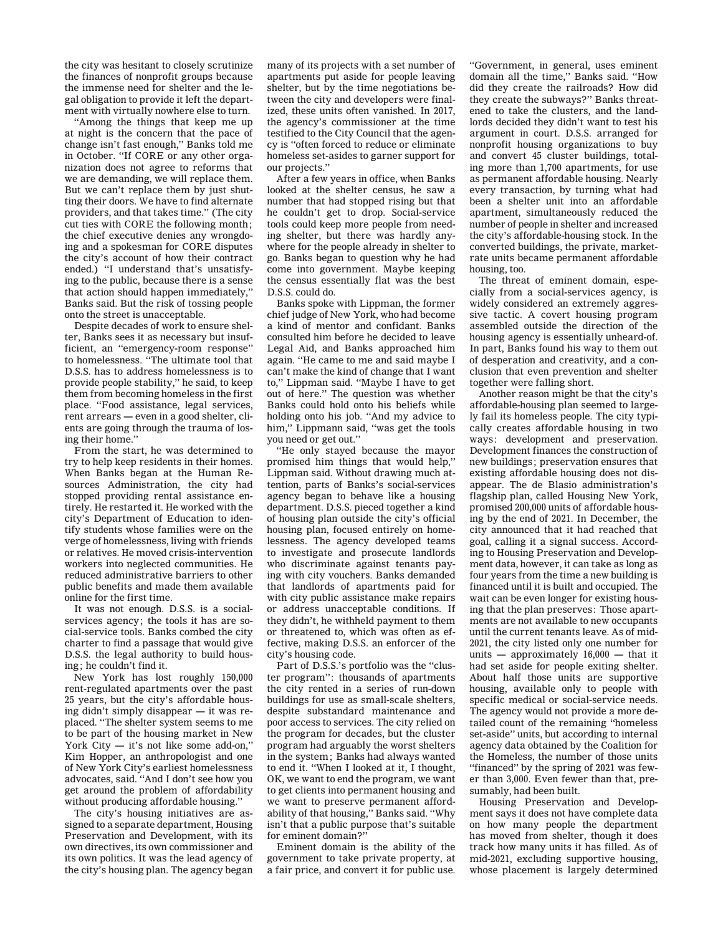the city was hesitant to closely scrutinize the finances of nonprofit groups because the immense need for shelter and the legal obligation to provide it left the department with virtually nowhere else to turn.

"Among the things that keep me up at night is the concern that the pace of change isn't fast enough," Banks told me in October. "If CORE or any other organization does not agree to reforms that we are demanding, we will replace them. But we can't replace them by just shutting their doors. We have to find alternate providers, and that takes time." (The city cut ties with CORE the following month; the chief executive denies any wrongdoing and a spokesman for CORE disputes the city's account of how their contract ended.) "I understand that's unsatisfying to the public, because there is a sense that action should happen immediately," Banks said. But the risk of tossing people onto the street is unacceptable.

Despite decades of work to ensure shelter, Banks sees it as necessary but insufficient, an "emergency-room response" to homelessness. "The ultimate tool that D.S.S. has to address homelessness is to provide people stability," he said, to keep them from becoming homeless in the first place. "Food assistance, legal services, rent arrears — even in a good shelter, clients are going through the trauma of losing their home."

From the start, he was determined to try to help keep residents in their homes. When Banks began at the Human Resources Administration, the city had stopped providing rental assistance entirely. He restarted it. He worked with the city's Department of Education to identify students whose families were on the verge of homelessness, living with friends or relatives. He moved crisis-intervention workers into neglected communities. He reduced administrative barriers to other public benefits and made them available online for the first time.

It was not enough. D.S.S. is a socialservices agency; the tools it has are social-service tools. Banks combed the city charter to find a passage that would give D.S.S. the legal authority to build housing; he couldn't find it.

New York has lost roughly 150,000 rent-regulated apartments over the past 25 years, but the city's affordable housing didn't simply disappear — it was replaced. "The shelter system seems to me to be part of the housing market in New York City — it's not like some add-on," Kim Hopper, an anthropologist and one of New York City's earliest homelessness advocates, said. "And I don't see how you get around the problem of affordability without producing affordable housing."

The city's housing initiatives are assigned to a separate department, Housing Preservation and Development, with its own directives, its own commissioner and its own politics. It was the lead agency of the city's housing plan. The agency began

many of its projects with a set number of apartments put aside for people leaving shelter, but by the time negotiations between the city and developers were finalized, these units often vanished. In 2017, the agency's commissioner at the time testified to the City Council that the agency is "often forced to reduce or eliminate homeless set-asides to garner support for our projects."

After a few years in office, when Banks looked at the shelter census, he saw a number that had stopped rising but that he couldn't get to drop. Social-service tools could keep more people from needing shelter, but there was hardly anywhere for the people already in shelter to go. Banks began to question why he had come into government. Maybe keeping the census essentially flat was the best D.S.S. could do.

Banks spoke with Lippman, the former chief judge of New York, who had become a kind of mentor and confidant. Banks consulted him before he decided to leave Legal Aid, and Banks approached him again. "He came to me and said maybe I can't make the kind of change that I want to," Lippman said. "Maybe I have to get out of here." The question was whether Banks could hold onto his beliefs while holding onto his job. "And my advice to him," Lippmann said, "was get the tools you need or get out."

"He only stayed because the mayor promised him things that would help," Lippman said. Without drawing much attention, parts of Banks's social-services agency began to behave like a housing department. D.S.S. pieced together a kind of housing plan outside the city's official housing plan, focused entirely on homelessness. The agency developed teams to investigate and prosecute landlords who discriminate against tenants paying with city vouchers. Banks demanded that landlords of apartments paid for with city public assistance make repairs or address unacceptable conditions. If they didn't, he withheld payment to them or threatened to, which was often as effective, making D.S.S. an enforcer of the city's housing code.

Part of D.S.S.'s portfolio was the "cluster program": thousands of apartments the city rented in a series of run-down buildings for use as small-scale shelters, despite substandard maintenance and poor access to services. The city relied on the program for decades, but the cluster program had arguably the worst shelters in the system; Banks had always wanted to end it. "When I looked at it, I thought, OK, we want to end the program, we want to get clients into permanent housing and we want to preserve permanent affordability of that housing," Banks said. "Why isn't that a public purpose that's suitable for eminent domain?"

Eminent domain is the ability of the government to take private property, at a fair price, and convert it for public use. "Government, in general, uses eminent domain all the time," Banks said. "How did they create the railroads? How did they create the subways?" Banks threatened to take the clusters, and the landlords decided they didn't want to test his argument in court. D.S.S. arranged for nonprofit housing organizations to buy and convert 45 cluster buildings, totaling more than 1,700 apartments, for use as permanent affordable housing. Nearly every transaction, by turning what had been a shelter unit into an affordable apartment, simultaneously reduced the number of people in shelter and increased the city's affordable-housing stock. In the converted buildings, the private, marketrate units became permanent affordable housing, too.

The threat of eminent domain, especially from a social-services agency, is widely considered an extremely aggressive tactic. A covert housing program assembled outside the direction of the housing agency is essentially unheard-of. In part, Banks found his way to them out of desperation and creativity, and a conclusion that even prevention and shelter together were falling short.

Another reason might be that the city's affordable-housing plan seemed to largely fail its homeless people. The city typically creates affordable housing in two ways: development and preservation. Development finances the construction of new buildings; preservation ensures that existing affordable housing does not disappear. The de Blasio administration's flagship plan, called Housing New York, promised 200,000 units of affordable housing by the end of 2021. In December, the city announced that it had reached that goal, [calling it a signal success.](https://www1.nyc.gov/office-of-the-mayor/news/853-21/mayor-de-blasio-200-000-affordable-homes-built-preserved-during-this-administration) According to Housing Preservation and Development data, however, it can take as long as four years from the time a new building is financed until it is built and occupied. The wait can be even longer for existing housing that the plan preserves: Those apartments are not available to new occupants until the current tenants leave. As of mid-2021, the city listed only one number for units  $-$  approximately  $16,000 -$  that it had set aside for people exiting shelter. About half those units are supportive housing, available only to people with specific medical or social-service needs. The agency would not provide a more detailed count of the remaining "homeless set-aside" units, but according to internal agency data obtained by the Coalition for the Homeless, the number of those units "financed" by the spring of 2021 was fewer than 3,000. Even fewer than that, presumably, had been built.

Housing Preservation and Development says it does not have complete data on how many people the department has moved from shelter, though it does track how many units it has filled. As of mid-2021, excluding supportive housing, whose placement is largely determined